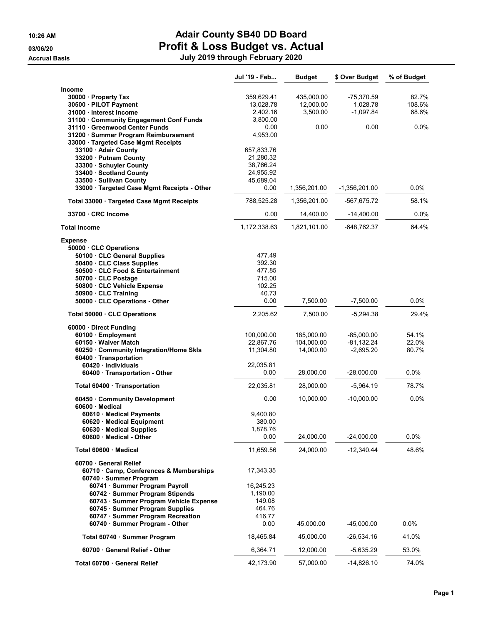# 10:26 AM **Adair County SB40 DD Board** 03/06/20 **Profit & Loss Budget vs. Actual**

Accrual Basis July 2019 through February 2020

|                                                                      | Jul '19 - Feb           | <b>Budget</b> | \$ Over Budget  | % of Budget |
|----------------------------------------------------------------------|-------------------------|---------------|-----------------|-------------|
| Income                                                               |                         |               |                 |             |
| 30000 · Property Tax                                                 | 359,629.41              | 435,000.00    | $-75,370.59$    | 82.7%       |
| 30500 · PILOT Payment                                                | 13,028.78               | 12,000.00     | 1,028.78        | 108.6%      |
| 31000 · Interest Income                                              | 2,402.16                | 3,500.00      | -1,097.84       | 68.6%       |
| 31100 Community Engagement Conf Funds                                | 3,800.00                |               |                 |             |
| 31110 · Greenwood Center Funds                                       | 0.00                    | 0.00          | 0.00            | $0.0\%$     |
| 31200 · Summer Program Reimbursement                                 | 4,953.00                |               |                 |             |
| 33000 · Targeted Case Mgmt Receipts                                  |                         |               |                 |             |
| 33100 Adair County<br>33200 Putnam County                            | 657,833.76<br>21,280.32 |               |                 |             |
| 33300 · Schuyler County                                              | 38,766.24               |               |                 |             |
| 33400 · Scotland County                                              | 24,955.92               |               |                 |             |
| 33500 · Sullivan County                                              | 45,689.04               |               |                 |             |
| 33000 · Targeted Case Mgmt Receipts - Other                          | 0.00                    | 1,356,201.00  | $-1,356,201.00$ | $0.0\%$     |
| Total 33000 Targeted Case Mgmt Receipts                              | 788,525.28              | 1,356,201.00  | -567,675.72     | 58.1%       |
| 33700 CRC Income                                                     | 0.00                    | 14,400.00     | $-14,400.00$    | $0.0\%$     |
| <b>Total Income</b>                                                  | 1,172,338.63            | 1,821,101.00  | -648,762.37     | 64.4%       |
|                                                                      |                         |               |                 |             |
| <b>Expense</b><br>50000 · CLC Operations                             |                         |               |                 |             |
| 50100 · CLC General Supplies                                         | 477.49                  |               |                 |             |
| 50400 · CLC Class Supplies                                           | 392.30                  |               |                 |             |
| 50500 · CLC Food & Entertainment                                     | 477.85                  |               |                 |             |
| 50700 CLC Postage                                                    | 715.00                  |               |                 |             |
| 50800 · CLC Vehicle Expense                                          | 102.25                  |               |                 |             |
| 50900 · CLC Training                                                 | 40.73                   |               |                 |             |
| 50000 CLC Operations - Other                                         | 0.00                    | 7,500.00      | $-7,500.00$     | 0.0%        |
| Total 50000 CLC Operations                                           | 2,205.62                | 7,500.00      | $-5,294.38$     | 29.4%       |
| 60000 · Direct Funding                                               |                         |               |                 |             |
| 60100 · Employment                                                   | 100,000.00              | 185,000.00    | -85,000.00      | 54.1%       |
| 60150 · Waiver Match                                                 | 22,867.76               | 104,000.00    | $-81, 132.24$   | 22.0%       |
| 60250 Community Integration/Home Skls                                | 11,304.80               | 14,000.00     | $-2,695.20$     | 80.7%       |
| 60400 · Transportation                                               |                         |               |                 |             |
| 60420 Individuals<br>60400 · Transportation - Other                  | 22,035.81<br>0.00       | 28,000.00     | $-28,000.00$    | 0.0%        |
|                                                                      |                         |               |                 |             |
| Total 60400 · Transportation                                         | 22,035.81               | 28,000.00     | $-5,964.19$     | 78.7%       |
| 60450 Community Development<br>60600 Medical                         | 0.00                    | 10,000.00     | $-10,000.00$    | 0.0%        |
| 60610 Medical Payments                                               | 9,400.80                |               |                 |             |
| 60620 Medical Equipment                                              | 380.00                  |               |                 |             |
| 60630 · Medical Supplies                                             | 1,878.76                |               |                 |             |
| 60600 Medical - Other                                                | 0.00                    | 24,000.00     | $-24,000.00$    | 0.0%        |
| Total 60600 · Medical                                                | 11,659.56               | 24,000.00     | $-12,340.44$    | 48.6%       |
| 60700 General Relief                                                 |                         |               |                 |             |
| 60710 Camp, Conferences & Memberships                                | 17,343.35               |               |                 |             |
| 60740 · Summer Program                                               |                         |               |                 |             |
| 60741 Summer Program Payroll                                         | 16,245.23               |               |                 |             |
| 60742 · Summer Program Stipends                                      | 1,190.00                |               |                 |             |
| 60743 · Summer Program Vehicle Expense                               | 149.08<br>464.76        |               |                 |             |
| 60745 · Summer Program Supplies<br>60747 · Summer Program Recreation | 416.77                  |               |                 |             |
| 60740 · Summer Program - Other                                       | 0.00                    | 45,000.00     | $-45,000.00$    | $0.0\%$     |
| Total 60740 · Summer Program                                         | 18,465.84               | 45,000.00     | -26,534.16      | 41.0%       |
| 60700 General Relief - Other                                         | 6,364.71                | 12,000.00     | $-5,635.29$     | 53.0%       |
| Total 60700 · General Relief                                         | 42,173.90               | 57,000.00     | $-14,826.10$    | 74.0%       |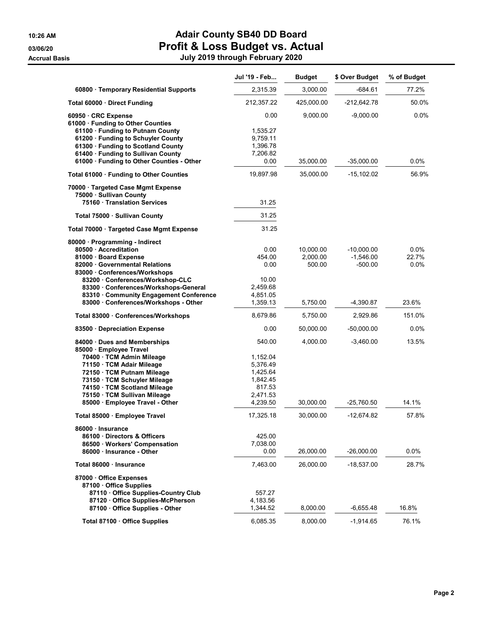| 2,315.39<br>3,000.00<br>$-684.61$<br>77.2%<br>60800 · Temporary Residential Supports<br>425,000.00<br>$-212,642.78$<br>50.0%<br>Total 60000 Direct Funding<br>212,357.22<br>0.00<br>9,000.00<br>$-9,000.00$<br>$0.0\%$<br>60950 CRC Expense<br>61000 · Funding to Other Counties<br>61100 · Funding to Putnam County<br>1,535.27<br>61200 · Funding to Schuyler County<br>9,759.11<br>61300 · Funding to Scotland County<br>1,396.78<br>61400 · Funding to Sullivan County<br>7,206.82<br>0.0%<br>61000 · Funding to Other Counties - Other<br>0.00<br>35,000.00<br>$-35,000.00$<br>56.9%<br>19,897.98<br>35,000.00<br>$-15,102.02$<br>Total 61000 · Funding to Other Counties<br>70000 · Targeted Case Mgmt Expense<br>75000 · Sullivan County<br>75160 Translation Services<br>31.25<br>31.25<br>Total 75000 · Sullivan County<br>31.25<br>Total 70000 · Targeted Case Mgmt Expense<br>80000 · Programming - Indirect<br>0.0%<br>80500 Accreditation<br>0.00<br>10,000.00<br>$-10,000.00$<br>22.7%<br>454.00<br>2,000.00<br>$-1,546.00$<br>81000 · Board Expense<br>82000 Governmental Relations<br>0.00<br>500.00<br>$-500.00$<br>$0.0\%$<br>83000 Conferences/Workshops<br>83200 Conferences/Workshop-CLC<br>10.00<br>83300 Conferences/Workshops-General<br>2,459.68<br>83310 Community Engagement Conference<br>4,851.05<br>83000 · Conferences/Workshops - Other<br>1,359.13<br>23.6%<br>5,750.00<br>-4,390.87<br>8,679.86<br>5,750.00<br>151.0%<br>Total 83000 · Conferences/Workshops<br>2,929.86<br>0.00<br>50,000.00<br>0.0%<br>83500 · Depreciation Expense<br>$-50,000.00$<br>540.00<br>4,000.00<br>13.5%<br>84000 Dues and Memberships<br>$-3,460.00$<br>85000 · Employee Travel<br>70400 · TCM Admin Mileage<br>1,152.04<br>71150 · TCM Adair Mileage<br>5,376.49<br>1,425.64<br>72150 · TCM Putnam Mileage<br>73150 · TCM Schuyler Mileage<br>1,842.45<br>74150 · TCM Scotland Mileage<br>817.53<br>75150 · TCM Sullivan Mileage<br>2,471.53<br>85000 · Employee Travel - Other<br>4,239.50<br>30,000.00<br>$-25,760.50$<br>14.1%<br>17,325.18<br>30,000.00<br>$-12,674.82$<br>57.8%<br>Total 85000 · Employee Travel<br>86000 · Insurance<br>425.00<br>86100 Directors & Officers<br>86500 · Workers' Compensation<br>7,038.00<br>26,000.00<br>$-26,000.00$<br>$0.0\%$<br>86000 - Insurance - Other<br>0.00<br>Total 86000 · Insurance<br>7,463.00<br>26,000.00<br>28.7%<br>$-18,537.00$<br>87000 Office Expenses<br>87100 Office Supplies<br>87110 Office Supplies-Country Club<br>557.27<br>87120 Office Supplies-McPherson<br>4,183.56<br>87100 Office Supplies - Other<br>1,344.52<br>8,000.00<br>$-6,655.48$<br>16.8%<br>6,085.35<br>8,000.00<br>76.1%<br>Total 87100 · Office Supplies<br>$-1,914.65$ | Jul '19 - Feb | <b>Budget</b> | \$ Over Budget | % of Budget |
|------------------------------------------------------------------------------------------------------------------------------------------------------------------------------------------------------------------------------------------------------------------------------------------------------------------------------------------------------------------------------------------------------------------------------------------------------------------------------------------------------------------------------------------------------------------------------------------------------------------------------------------------------------------------------------------------------------------------------------------------------------------------------------------------------------------------------------------------------------------------------------------------------------------------------------------------------------------------------------------------------------------------------------------------------------------------------------------------------------------------------------------------------------------------------------------------------------------------------------------------------------------------------------------------------------------------------------------------------------------------------------------------------------------------------------------------------------------------------------------------------------------------------------------------------------------------------------------------------------------------------------------------------------------------------------------------------------------------------------------------------------------------------------------------------------------------------------------------------------------------------------------------------------------------------------------------------------------------------------------------------------------------------------------------------------------------------------------------------------------------------------------------------------------------------------------------------------------------------------------------------------------------------------------------------------------------------------------------------------------------------------------------------------------------------------------------------------------------------------------------------------------------------------------------------------------------------------------------------------------------------------------------------------------------------------------------------------------------------|---------------|---------------|----------------|-------------|
|                                                                                                                                                                                                                                                                                                                                                                                                                                                                                                                                                                                                                                                                                                                                                                                                                                                                                                                                                                                                                                                                                                                                                                                                                                                                                                                                                                                                                                                                                                                                                                                                                                                                                                                                                                                                                                                                                                                                                                                                                                                                                                                                                                                                                                                                                                                                                                                                                                                                                                                                                                                                                                                                                                                              |               |               |                |             |
|                                                                                                                                                                                                                                                                                                                                                                                                                                                                                                                                                                                                                                                                                                                                                                                                                                                                                                                                                                                                                                                                                                                                                                                                                                                                                                                                                                                                                                                                                                                                                                                                                                                                                                                                                                                                                                                                                                                                                                                                                                                                                                                                                                                                                                                                                                                                                                                                                                                                                                                                                                                                                                                                                                                              |               |               |                |             |
|                                                                                                                                                                                                                                                                                                                                                                                                                                                                                                                                                                                                                                                                                                                                                                                                                                                                                                                                                                                                                                                                                                                                                                                                                                                                                                                                                                                                                                                                                                                                                                                                                                                                                                                                                                                                                                                                                                                                                                                                                                                                                                                                                                                                                                                                                                                                                                                                                                                                                                                                                                                                                                                                                                                              |               |               |                |             |
|                                                                                                                                                                                                                                                                                                                                                                                                                                                                                                                                                                                                                                                                                                                                                                                                                                                                                                                                                                                                                                                                                                                                                                                                                                                                                                                                                                                                                                                                                                                                                                                                                                                                                                                                                                                                                                                                                                                                                                                                                                                                                                                                                                                                                                                                                                                                                                                                                                                                                                                                                                                                                                                                                                                              |               |               |                |             |
|                                                                                                                                                                                                                                                                                                                                                                                                                                                                                                                                                                                                                                                                                                                                                                                                                                                                                                                                                                                                                                                                                                                                                                                                                                                                                                                                                                                                                                                                                                                                                                                                                                                                                                                                                                                                                                                                                                                                                                                                                                                                                                                                                                                                                                                                                                                                                                                                                                                                                                                                                                                                                                                                                                                              |               |               |                |             |
|                                                                                                                                                                                                                                                                                                                                                                                                                                                                                                                                                                                                                                                                                                                                                                                                                                                                                                                                                                                                                                                                                                                                                                                                                                                                                                                                                                                                                                                                                                                                                                                                                                                                                                                                                                                                                                                                                                                                                                                                                                                                                                                                                                                                                                                                                                                                                                                                                                                                                                                                                                                                                                                                                                                              |               |               |                |             |
|                                                                                                                                                                                                                                                                                                                                                                                                                                                                                                                                                                                                                                                                                                                                                                                                                                                                                                                                                                                                                                                                                                                                                                                                                                                                                                                                                                                                                                                                                                                                                                                                                                                                                                                                                                                                                                                                                                                                                                                                                                                                                                                                                                                                                                                                                                                                                                                                                                                                                                                                                                                                                                                                                                                              |               |               |                |             |
|                                                                                                                                                                                                                                                                                                                                                                                                                                                                                                                                                                                                                                                                                                                                                                                                                                                                                                                                                                                                                                                                                                                                                                                                                                                                                                                                                                                                                                                                                                                                                                                                                                                                                                                                                                                                                                                                                                                                                                                                                                                                                                                                                                                                                                                                                                                                                                                                                                                                                                                                                                                                                                                                                                                              |               |               |                |             |
|                                                                                                                                                                                                                                                                                                                                                                                                                                                                                                                                                                                                                                                                                                                                                                                                                                                                                                                                                                                                                                                                                                                                                                                                                                                                                                                                                                                                                                                                                                                                                                                                                                                                                                                                                                                                                                                                                                                                                                                                                                                                                                                                                                                                                                                                                                                                                                                                                                                                                                                                                                                                                                                                                                                              |               |               |                |             |
|                                                                                                                                                                                                                                                                                                                                                                                                                                                                                                                                                                                                                                                                                                                                                                                                                                                                                                                                                                                                                                                                                                                                                                                                                                                                                                                                                                                                                                                                                                                                                                                                                                                                                                                                                                                                                                                                                                                                                                                                                                                                                                                                                                                                                                                                                                                                                                                                                                                                                                                                                                                                                                                                                                                              |               |               |                |             |
|                                                                                                                                                                                                                                                                                                                                                                                                                                                                                                                                                                                                                                                                                                                                                                                                                                                                                                                                                                                                                                                                                                                                                                                                                                                                                                                                                                                                                                                                                                                                                                                                                                                                                                                                                                                                                                                                                                                                                                                                                                                                                                                                                                                                                                                                                                                                                                                                                                                                                                                                                                                                                                                                                                                              |               |               |                |             |
|                                                                                                                                                                                                                                                                                                                                                                                                                                                                                                                                                                                                                                                                                                                                                                                                                                                                                                                                                                                                                                                                                                                                                                                                                                                                                                                                                                                                                                                                                                                                                                                                                                                                                                                                                                                                                                                                                                                                                                                                                                                                                                                                                                                                                                                                                                                                                                                                                                                                                                                                                                                                                                                                                                                              |               |               |                |             |
|                                                                                                                                                                                                                                                                                                                                                                                                                                                                                                                                                                                                                                                                                                                                                                                                                                                                                                                                                                                                                                                                                                                                                                                                                                                                                                                                                                                                                                                                                                                                                                                                                                                                                                                                                                                                                                                                                                                                                                                                                                                                                                                                                                                                                                                                                                                                                                                                                                                                                                                                                                                                                                                                                                                              |               |               |                |             |
|                                                                                                                                                                                                                                                                                                                                                                                                                                                                                                                                                                                                                                                                                                                                                                                                                                                                                                                                                                                                                                                                                                                                                                                                                                                                                                                                                                                                                                                                                                                                                                                                                                                                                                                                                                                                                                                                                                                                                                                                                                                                                                                                                                                                                                                                                                                                                                                                                                                                                                                                                                                                                                                                                                                              |               |               |                |             |
|                                                                                                                                                                                                                                                                                                                                                                                                                                                                                                                                                                                                                                                                                                                                                                                                                                                                                                                                                                                                                                                                                                                                                                                                                                                                                                                                                                                                                                                                                                                                                                                                                                                                                                                                                                                                                                                                                                                                                                                                                                                                                                                                                                                                                                                                                                                                                                                                                                                                                                                                                                                                                                                                                                                              |               |               |                |             |
|                                                                                                                                                                                                                                                                                                                                                                                                                                                                                                                                                                                                                                                                                                                                                                                                                                                                                                                                                                                                                                                                                                                                                                                                                                                                                                                                                                                                                                                                                                                                                                                                                                                                                                                                                                                                                                                                                                                                                                                                                                                                                                                                                                                                                                                                                                                                                                                                                                                                                                                                                                                                                                                                                                                              |               |               |                |             |
|                                                                                                                                                                                                                                                                                                                                                                                                                                                                                                                                                                                                                                                                                                                                                                                                                                                                                                                                                                                                                                                                                                                                                                                                                                                                                                                                                                                                                                                                                                                                                                                                                                                                                                                                                                                                                                                                                                                                                                                                                                                                                                                                                                                                                                                                                                                                                                                                                                                                                                                                                                                                                                                                                                                              |               |               |                |             |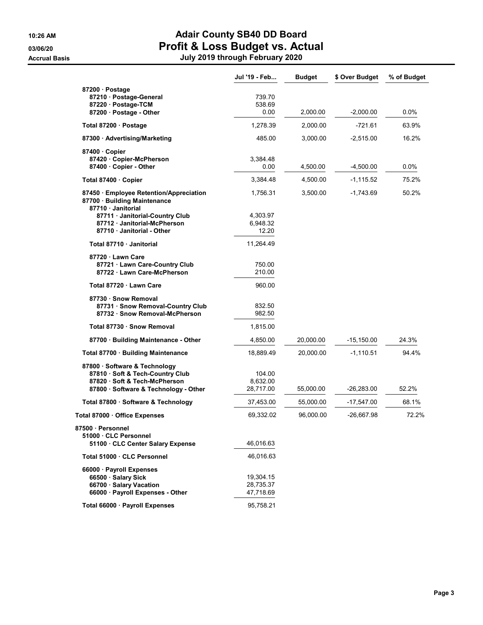|                                                                                                                                             | Jul '19 - Feb                       | <b>Budget</b> | \$ Over Budget | % of Budget |
|---------------------------------------------------------------------------------------------------------------------------------------------|-------------------------------------|---------------|----------------|-------------|
| 87200 · Postage<br>87210 · Postage-General<br>87220 · Postage-TCM<br>87200 Postage - Other                                                  | 739.70<br>538.69<br>0.00            | 2,000.00      | $-2.000.00$    | $0.0\%$     |
| Total 87200 · Postage                                                                                                                       | 1,278.39                            | 2,000.00      | -721.61        | 63.9%       |
| 87300 Advertising/Marketing                                                                                                                 | 485.00                              | 3,000.00      | $-2,515.00$    | 16.2%       |
| 87400 Copier<br>87420 Copier-McPherson<br>87400 · Copier - Other                                                                            | 3,384.48<br>0.00                    | 4,500.00      | $-4,500.00$    | $0.0\%$     |
| Total 87400 · Copier                                                                                                                        | 3,384.48                            | 4,500.00      | $-1,115.52$    | 75.2%       |
| 87450 · Employee Retention/Appreciation<br>87700 · Building Maintenance<br>87710 Janitorial                                                 | 1,756.31                            | 3,500.00      | $-1,743.69$    | 50.2%       |
| 87711 Janitorial-Country Club<br>87712 Janitorial-McPherson<br>87710 - Janitorial - Other                                                   | 4,303.97<br>6,948.32<br>12.20       |               |                |             |
| Total 87710 · Janitorial                                                                                                                    | 11,264.49                           |               |                |             |
| 87720 Lawn Care<br>87721 Lawn Care-Country Club<br>87722 Lawn Care-McPherson                                                                | 750.00<br>210.00                    |               |                |             |
| Total 87720 · Lawn Care                                                                                                                     | 960.00                              |               |                |             |
| 87730 · Snow Removal<br>87731 · Snow Removal-Country Club<br>87732 · Snow Removal-McPherson                                                 | 832.50<br>982.50                    |               |                |             |
| Total 87730 · Snow Removal                                                                                                                  | 1,815.00                            |               |                |             |
| 87700 · Building Maintenance - Other                                                                                                        | 4,850.00                            | 20,000.00     | -15,150.00     | 24.3%       |
| Total 87700 · Building Maintenance                                                                                                          | 18,889.49                           | 20,000.00     | $-1,110.51$    | 94.4%       |
| 87800 · Software & Technology<br>87810 · Soft & Tech-Country Club<br>87820 · Soft & Tech-McPherson<br>87800 · Software & Technology - Other | 104.00<br>8,632.00<br>28,717.00     | 55,000.00     | -26,283.00     | 52.2%       |
| Total 87800 · Software & Technology                                                                                                         | 37,453.00                           | 55,000.00     | -17,547.00     | 68.1%       |
| Total 87000 · Office Expenses                                                                                                               | 69,332.02                           | 96,000.00     | -26,667.98     | 72.2%       |
| 87500 · Personnel<br>51000 CLC Personnel<br>51100 CLC Center Salary Expense                                                                 | 46,016.63                           |               |                |             |
| Total 51000 · CLC Personnel                                                                                                                 | 46,016.63                           |               |                |             |
| 66000 · Payroll Expenses<br>66500 · Salary Sick<br>66700 · Salary Vacation<br>66000 · Payroll Expenses - Other                              | 19,304.15<br>28.735.37<br>47,718.69 |               |                |             |
| Total 66000 · Payroll Expenses                                                                                                              | 95,758.21                           |               |                |             |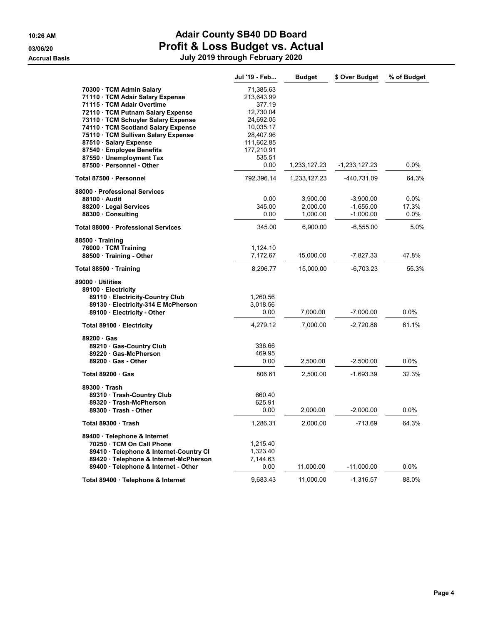|                                                                  | Jul '19 - Feb        | <b>Budget</b> | \$ Over Budget | % of Budget |
|------------------------------------------------------------------|----------------------|---------------|----------------|-------------|
| 70300 TCM Admin Salary                                           | 71,385.63            |               |                |             |
| 71110 · TCM Adair Salary Expense                                 | 213,643.99           |               |                |             |
| 71115 · TCM Adair Overtime                                       | 377.19               |               |                |             |
| 72110 TCM Putnam Salary Expense                                  | 12,730.04            |               |                |             |
| 73110 · TCM Schuyler Salary Expense                              | 24,692.05            |               |                |             |
| 74110 · TCM Scotland Salary Expense                              | 10,035.17            |               |                |             |
| 75110 · TCM Sullivan Salary Expense                              | 28,407.96            |               |                |             |
| 87510 · Salary Expense                                           | 111,602.85           |               |                |             |
| 87540 · Employee Benefits                                        | 177,210.91           |               |                |             |
| 87550 Unemployment Tax                                           | 535.51               |               |                |             |
| 87500 · Personnel - Other                                        | 0.00                 | 1,233,127.23  | -1,233,127.23  | 0.0%        |
| Total 87500 · Personnel                                          | 792,396.14           | 1,233,127.23  | -440,731.09    | 64.3%       |
| 88000 · Professional Services                                    |                      |               |                |             |
| 88100 Audit                                                      | 0.00                 | 3,900.00      | $-3,900.00$    | 0.0%        |
| 88200 · Legal Services                                           | 345.00               | 2,000.00      | $-1,655.00$    | 17.3%       |
| 88300 Consulting                                                 | 0.00                 | 1,000.00      | $-1,000.00$    | 0.0%        |
| Total 88000 · Professional Services                              | 345.00               | 6,900.00      | $-6,555.00$    | 5.0%        |
| 88500 Training                                                   |                      |               |                |             |
| 76000 · TCM Training                                             | 1,124.10<br>7,172.67 |               | $-7,827.33$    | 47.8%       |
| 88500 · Training - Other                                         |                      | 15,000.00     |                |             |
| Total 88500 · Training                                           | 8,296.77             | 15,000.00     | $-6,703.23$    | 55.3%       |
| 89000 Utilities                                                  |                      |               |                |             |
| 89100 · Electricity                                              |                      |               |                |             |
| 89110 · Electricity-Country Club                                 | 1,260.56<br>3,018.56 |               |                |             |
| 89130 Electricity-314 E McPherson<br>89100 · Electricity - Other | 0.00                 | 7,000.00      | $-7,000.00$    | 0.0%        |
|                                                                  |                      |               |                |             |
| Total 89100 · Electricity                                        | 4,279.12             | 7,000.00      | $-2,720.88$    | 61.1%       |
| 89200 Gas                                                        |                      |               |                |             |
| 89210 Gas-Country Club                                           | 336.66               |               |                |             |
| 89220 Gas-McPherson                                              | 469.95               |               |                |             |
| 89200 Gas - Other                                                | 0.00                 | 2,500.00      | $-2,500.00$    | $0.0\%$     |
| Total $89200 \cdot$ Gas                                          | 806.61               | 2,500.00      | $-1,693.39$    | 32.3%       |
| 89300 Trash                                                      |                      |               |                |             |
| 89310 Trash-Country Club                                         | 660.40               |               |                |             |
| 89320 Trash-McPherson                                            | 625.91               |               |                |             |
| 89300 Trash - Other                                              | 0.00                 | 2,000.00      | $-2,000.00$    | 0.0%        |
| Total 89300 Trash                                                | 1,286.31             | 2,000.00      | $-713.69$      | 64.3%       |
| 89400 · Telephone & Internet                                     |                      |               |                |             |
| 70250 TCM On Call Phone                                          | 1,215.40             |               |                |             |
| 89410 · Telephone & Internet-Country CI                          | 1,323.40             |               |                |             |
| 89420 · Telephone & Internet-McPherson                           | 7,144.63             |               |                |             |
| 89400 · Telephone & Internet - Other                             | 0.00                 | 11,000.00     | $-11,000.00$   | 0.0%        |
| Total 89400 · Telephone & Internet                               | 9,683.43             | 11,000.00     | $-1,316.57$    | 88.0%       |